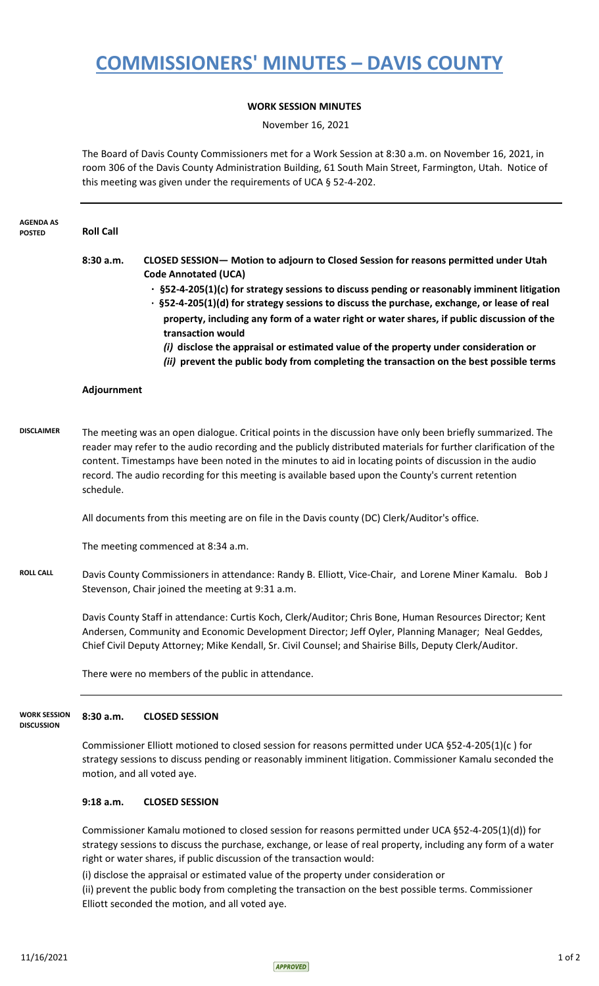## **COMMISSIONERS' MINUTES – DAVIS COUNTY**

## **WORK SESSION MINUTES**

November 16, 2021

The Board of Davis County Commissioners met for a Work Session at 8:30 a.m. on November 16, 2021, in room 306 of the Davis County Administration Building, 61 South Main Street, Farmington, Utah. Notice of this meeting was given under the requirements of UCA § 52-4-202.

| <b>AGENDA AS</b><br><b>POSTED</b>        | <b>Roll Call</b>                                                                                                                                                                                                                                                                                                                                                                                                                                             |                                                                                                                                                                                                                                                                                                                                                                                                                                                                                                                                                                                                                                |
|------------------------------------------|--------------------------------------------------------------------------------------------------------------------------------------------------------------------------------------------------------------------------------------------------------------------------------------------------------------------------------------------------------------------------------------------------------------------------------------------------------------|--------------------------------------------------------------------------------------------------------------------------------------------------------------------------------------------------------------------------------------------------------------------------------------------------------------------------------------------------------------------------------------------------------------------------------------------------------------------------------------------------------------------------------------------------------------------------------------------------------------------------------|
|                                          | 8:30 a.m.                                                                                                                                                                                                                                                                                                                                                                                                                                                    | CLOSED SESSION- Motion to adjourn to Closed Session for reasons permitted under Utah<br><b>Code Annotated (UCA)</b><br>$\cdot$ §52-4-205(1)(c) for strategy sessions to discuss pending or reasonably imminent litigation<br>· §52-4-205(1)(d) for strategy sessions to discuss the purchase, exchange, or lease of real<br>property, including any form of a water right or water shares, if public discussion of the<br>transaction would<br>(i) disclose the appraisal or estimated value of the property under consideration or<br>(ii) prevent the public body from completing the transaction on the best possible terms |
|                                          | Adjournment                                                                                                                                                                                                                                                                                                                                                                                                                                                  |                                                                                                                                                                                                                                                                                                                                                                                                                                                                                                                                                                                                                                |
| <b>DISCLAIMER</b>                        | The meeting was an open dialogue. Critical points in the discussion have only been briefly summarized. The<br>reader may refer to the audio recording and the publicly distributed materials for further clarification of the<br>content. Timestamps have been noted in the minutes to aid in locating points of discussion in the audio<br>record. The audio recording for this meeting is available based upon the County's current retention<br>schedule. |                                                                                                                                                                                                                                                                                                                                                                                                                                                                                                                                                                                                                                |
|                                          | All documents from this meeting are on file in the Davis county (DC) Clerk/Auditor's office.                                                                                                                                                                                                                                                                                                                                                                 |                                                                                                                                                                                                                                                                                                                                                                                                                                                                                                                                                                                                                                |
|                                          | The meeting commenced at 8:34 a.m.                                                                                                                                                                                                                                                                                                                                                                                                                           |                                                                                                                                                                                                                                                                                                                                                                                                                                                                                                                                                                                                                                |
| <b>ROLL CALL</b>                         | Davis County Commissioners in attendance: Randy B. Elliott, Vice-Chair, and Lorene Miner Kamalu. Bob J<br>Stevenson, Chair joined the meeting at 9:31 a.m.                                                                                                                                                                                                                                                                                                   |                                                                                                                                                                                                                                                                                                                                                                                                                                                                                                                                                                                                                                |
|                                          | Davis County Staff in attendance: Curtis Koch, Clerk/Auditor; Chris Bone, Human Resources Director; Kent<br>Andersen, Community and Economic Development Director; Jeff Oyler, Planning Manager; Neal Geddes,<br>Chief Civil Deputy Attorney; Mike Kendall, Sr. Civil Counsel; and Shairise Bills, Deputy Clerk/Auditor.                                                                                                                                     |                                                                                                                                                                                                                                                                                                                                                                                                                                                                                                                                                                                                                                |
|                                          | There were no members of the public in attendance.                                                                                                                                                                                                                                                                                                                                                                                                           |                                                                                                                                                                                                                                                                                                                                                                                                                                                                                                                                                                                                                                |
| <b>WORK SESSION</b><br><b>DISCUSSION</b> | 8:30 a.m.                                                                                                                                                                                                                                                                                                                                                                                                                                                    | <b>CLOSED SESSION</b>                                                                                                                                                                                                                                                                                                                                                                                                                                                                                                                                                                                                          |
|                                          | Commissioner Elliott motioned to closed session for reasons permitted under UCA §52-4-205(1)(c) for<br>strategy sessions to discuss pending or reasonably imminent litigation. Commissioner Kamalu seconded the<br>motion, and all voted aye.                                                                                                                                                                                                                |                                                                                                                                                                                                                                                                                                                                                                                                                                                                                                                                                                                                                                |
|                                          | $9:18$ a.m.                                                                                                                                                                                                                                                                                                                                                                                                                                                  | <b>CLOSED SESSION</b>                                                                                                                                                                                                                                                                                                                                                                                                                                                                                                                                                                                                          |
|                                          |                                                                                                                                                                                                                                                                                                                                                                                                                                                              |                                                                                                                                                                                                                                                                                                                                                                                                                                                                                                                                                                                                                                |

Commissioner Kamalu motioned to closed session for reasons permitted under UCA §52-4-205(1)(d)) for strategy sessions to discuss the purchase, exchange, or lease of real property, including any form of a water right or water shares, if public discussion of the transaction would:

(i) disclose the appraisal or estimated value of the property under consideration or (ii) prevent the public body from completing the transaction on the best possible terms. Commissioner Elliott seconded the motion, and all voted aye.